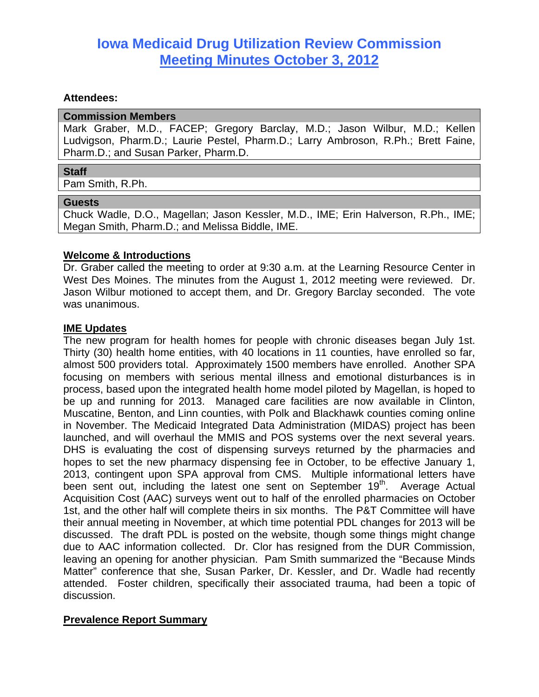# **Iowa Medicaid Drug Utilization Review Commission Meeting Minutes October 3, 2012**

### **Attendees:**

#### **Commission Members**

Mark Graber, M.D., FACEP; Gregory Barclay, M.D.; Jason Wilbur, M.D.; Kellen Ludvigson, Pharm.D.; Laurie Pestel, Pharm.D.; Larry Ambroson, R.Ph.; Brett Faine, Pharm.D.; and Susan Parker, Pharm.D.

#### **Staff**

Pam Smith, R.Ph.

#### **Guests**

Chuck Wadle, D.O., Magellan; Jason Kessler, M.D., IME; Erin Halverson, R.Ph., IME; Megan Smith, Pharm.D.; and Melissa Biddle, IME.

### **Welcome & Introductions**

Dr. Graber called the meeting to order at 9:30 a.m. at the Learning Resource Center in West Des Moines. The minutes from the August 1, 2012 meeting were reviewed. Dr. Jason Wilbur motioned to accept them, and Dr. Gregory Barclay seconded. The vote was unanimous.

### **IME Updates**

The new program for health homes for people with chronic diseases began July 1st. Thirty (30) health home entities, with 40 locations in 11 counties, have enrolled so far, almost 500 providers total. Approximately 1500 members have enrolled. Another SPA focusing on members with serious mental illness and emotional disturbances is in process, based upon the integrated health home model piloted by Magellan, is hoped to be up and running for 2013. Managed care facilities are now available in Clinton, Muscatine, Benton, and Linn counties, with Polk and Blackhawk counties coming online in November. The Medicaid Integrated Data Administration (MIDAS) project has been launched, and will overhaul the MMIS and POS systems over the next several years. DHS is evaluating the cost of dispensing surveys returned by the pharmacies and hopes to set the new pharmacy dispensing fee in October, to be effective January 1, 2013, contingent upon SPA approval from CMS. Multiple informational letters have been sent out, including the latest one sent on September 19<sup>th</sup>. Average Actual Acquisition Cost (AAC) surveys went out to half of the enrolled pharmacies on October 1st, and the other half will complete theirs in six months. The P&T Committee will have their annual meeting in November, at which time potential PDL changes for 2013 will be discussed. The draft PDL is posted on the website, though some things might change due to AAC information collected. Dr. Clor has resigned from the DUR Commission, leaving an opening for another physician. Pam Smith summarized the "Because Minds Matter" conference that she, Susan Parker, Dr. Kessler, and Dr. Wadle had recently attended. Foster children, specifically their associated trauma, had been a topic of discussion.

### **Prevalence Report Summary**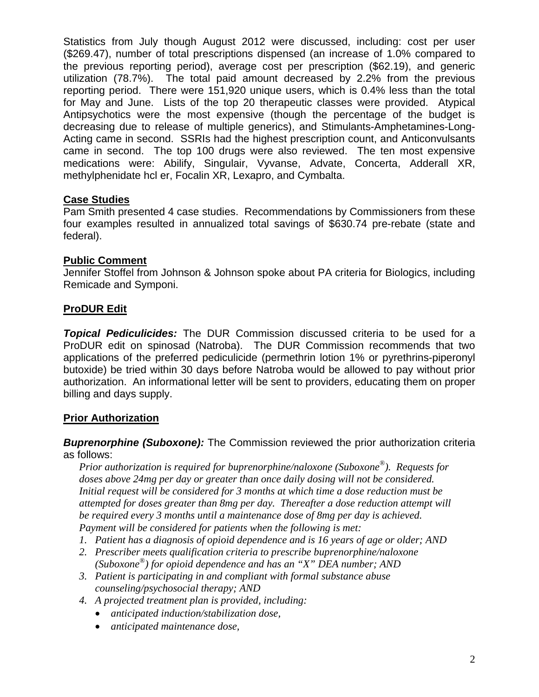Statistics from July though August 2012 were discussed, including: cost per user (\$269.47), number of total prescriptions dispensed (an increase of 1.0% compared to the previous reporting period), average cost per prescription (\$62.19), and generic utilization (78.7%). The total paid amount decreased by 2.2% from the previous reporting period. There were 151,920 unique users, which is 0.4% less than the total for May and June. Lists of the top 20 therapeutic classes were provided. Atypical Antipsychotics were the most expensive (though the percentage of the budget is decreasing due to release of multiple generics), and Stimulants-Amphetamines-Long-Acting came in second. SSRIs had the highest prescription count, and Anticonvulsants came in second. The top 100 drugs were also reviewed. The ten most expensive medications were: Abilify, Singulair, Vyvanse, Advate, Concerta, Adderall XR, methylphenidate hcl er, Focalin XR, Lexapro, and Cymbalta.

# **Case Studies**

Pam Smith presented 4 case studies. Recommendations by Commissioners from these four examples resulted in annualized total savings of \$630.74 pre-rebate (state and federal).

# **Public Comment**

Jennifer Stoffel from Johnson & Johnson spoke about PA criteria for Biologics, including Remicade and Symponi.

# **ProDUR Edit**

*Topical Pediculicides:* The DUR Commission discussed criteria to be used for a ProDUR edit on spinosad (Natroba). The DUR Commission recommends that two applications of the preferred pediculicide (permethrin lotion 1% or pyrethrins-piperonyl butoxide) be tried within 30 days before Natroba would be allowed to pay without prior authorization. An informational letter will be sent to providers, educating them on proper billing and days supply.

# **Prior Authorization**

**Buprenorphine (Suboxone):** The Commission reviewed the prior authorization criteria as follows:

*Prior authorization is required for buprenorphine/naloxone (Suboxone®). Requests for doses above 24mg per day or greater than once daily dosing will not be considered. Initial request will be considered for 3 months at which time a dose reduction must be attempted for doses greater than 8mg per day. Thereafter a dose reduction attempt will be required every 3 months until a maintenance dose of 8mg per day is achieved. Payment will be considered for patients when the following is met:* 

- *1. Patient has a diagnosis of opioid dependence and is 16 years of age or older; AND*
- *2. Prescriber meets qualification criteria to prescribe buprenorphine/naloxone (Suboxone®) for opioid dependence and has an "X" DEA number; AND*
- *3. Patient is participating in and compliant with formal substance abuse counseling/psychosocial therapy; AND*
- *4. A projected treatment plan is provided, including:* 
	- *anticipated induction/stabilization dose,*
	- *anticipated maintenance dose,*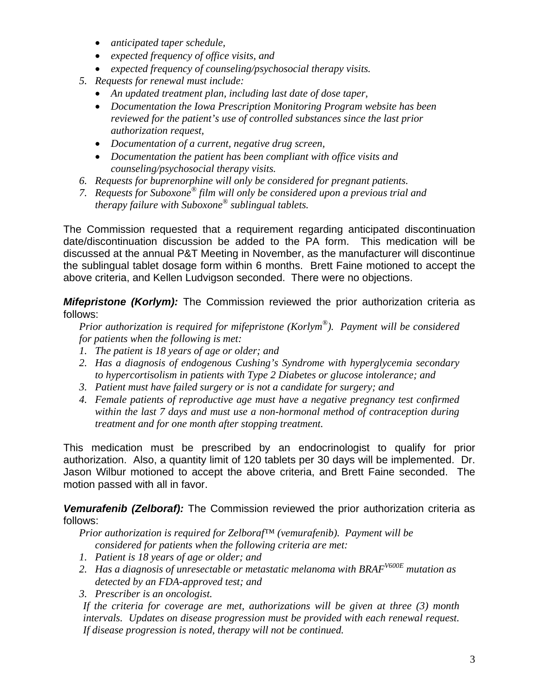- *anticipated taper schedule,*
- *expected frequency of office visits, and*
- *expected frequency of counseling/psychosocial therapy visits.*
- *5. Requests for renewal must include:* 
	- *An updated treatment plan, including last date of dose taper,*
	- *Documentation the Iowa Prescription Monitoring Program website has been reviewed for the patient's use of controlled substances since the last prior authorization request,*
	- *Documentation of a current, negative drug screen,*
	- *Documentation the patient has been compliant with office visits and counseling/psychosocial therapy visits.*
- *6. Requests for buprenorphine will only be considered for pregnant patients.*
- *7. Requests for Suboxone® film will only be considered upon a previous trial and therapy failure with Suboxone® sublingual tablets.*

The Commission requested that a requirement regarding anticipated discontinuation date/discontinuation discussion be added to the PA form. This medication will be discussed at the annual P&T Meeting in November, as the manufacturer will discontinue the sublingual tablet dosage form within 6 months. Brett Faine motioned to accept the above criteria, and Kellen Ludvigson seconded. There were no objections.

*Mifepristone (Korlym):* The Commission reviewed the prior authorization criteria as follows:

*Prior authorization is required for mifepristone (Korlym®). Payment will be considered for patients when the following is met:* 

- *1. The patient is 18 years of age or older; and*
- *2. Has a diagnosis of endogenous Cushing's Syndrome with hyperglycemia secondary to hypercortisolism in patients with Type 2 Diabetes or glucose intolerance; and*
- *3. Patient must have failed surgery or is not a candidate for surgery; and*
- *4. Female patients of reproductive age must have a negative pregnancy test confirmed within the last 7 days and must use a non-hormonal method of contraception during treatment and for one month after stopping treatment.*

This medication must be prescribed by an endocrinologist to qualify for prior authorization. Also, a quantity limit of 120 tablets per 30 days will be implemented. Dr. Jason Wilbur motioned to accept the above criteria, and Brett Faine seconded. The motion passed with all in favor.

*Vemurafenib (Zelboraf):* The Commission reviewed the prior authorization criteria as follows:

*Prior authorization is required for Zelboraf™ (vemurafenib). Payment will be considered for patients when the following criteria are met:* 

- *1. Patient is 18 years of age or older; and*
- 2. *Has a diagnosis of unresectable or metastatic melanoma with BRAF<sup>V600E</sup> mutation as detected by an FDA-approved test; and*
- *3. Prescriber is an oncologist.*

*If the criteria for coverage are met, authorizations will be given at three (3) month intervals. Updates on disease progression must be provided with each renewal request. If disease progression is noted, therapy will not be continued.*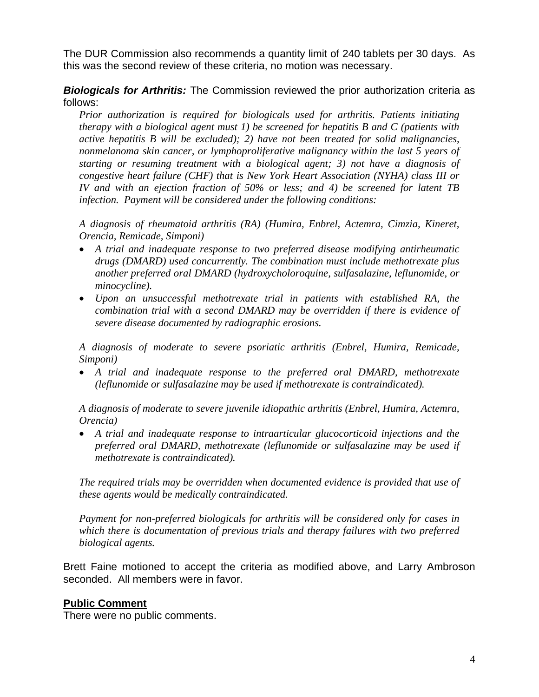The DUR Commission also recommends a quantity limit of 240 tablets per 30 days. As this was the second review of these criteria, no motion was necessary.

# *Biologicals for Arthritis:* The Commission reviewed the prior authorization criteria as follows:

*Prior authorization is required for biologicals used for arthritis. Patients initiating therapy with a biological agent must 1) be screened for hepatitis B and C (patients with active hepatitis B will be excluded); 2) have not been treated for solid malignancies, nonmelanoma skin cancer, or lymphoproliferative malignancy within the last 5 years of starting or resuming treatment with a biological agent; 3) not have a diagnosis of congestive heart failure (CHF) that is New York Heart Association (NYHA) class III or IV and with an ejection fraction of 50% or less; and 4) be screened for latent TB infection. Payment will be considered under the following conditions:* 

*A diagnosis of rheumatoid arthritis (RA) (Humira, Enbrel, Actemra, Cimzia, Kineret, Orencia, Remicade, Simponi)* 

- *A trial and inadequate response to two preferred disease modifying antirheumatic drugs (DMARD) used concurrently. The combination must include methotrexate plus another preferred oral DMARD (hydroxycholoroquine, sulfasalazine, leflunomide, or minocycline).*
- *Upon an unsuccessful methotrexate trial in patients with established RA, the combination trial with a second DMARD may be overridden if there is evidence of severe disease documented by radiographic erosions.*

*A diagnosis of moderate to severe psoriatic arthritis (Enbrel, Humira, Remicade, Simponi)* 

 *A trial and inadequate response to the preferred oral DMARD, methotrexate (leflunomide or sulfasalazine may be used if methotrexate is contraindicated).* 

*A diagnosis of moderate to severe juvenile idiopathic arthritis (Enbrel, Humira, Actemra, Orencia)* 

 *A trial and inadequate response to intraarticular glucocorticoid injections and the preferred oral DMARD, methotrexate (leflunomide or sulfasalazine may be used if methotrexate is contraindicated).* 

*The required trials may be overridden when documented evidence is provided that use of these agents would be medically contraindicated.* 

*Payment for non-preferred biologicals for arthritis will be considered only for cases in which there is documentation of previous trials and therapy failures with two preferred biological agents.* 

Brett Faine motioned to accept the criteria as modified above, and Larry Ambroson seconded. All members were in favor.

### **Public Comment**

There were no public comments.